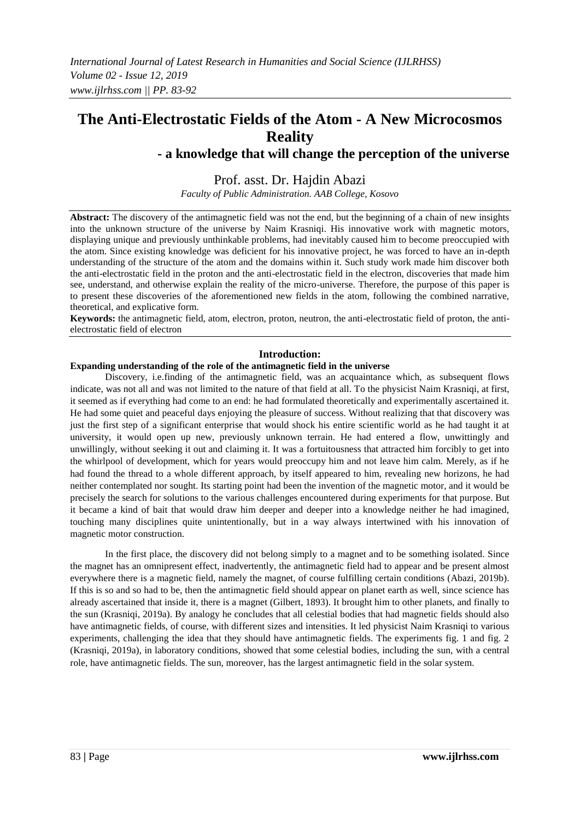# **The Anti-Electrostatic Fields of the Atom - A New Microcosmos Reality - a knowledge that will change the perception of the universe**

## Prof. asst. Dr. Hajdin Abazi

*Faculty of Public Administration. AAB College, Kosovo*

**Abstract:** The discovery of the antimagnetic field was not the end, but the beginning of a chain of new insights into the unknown structure of the universe by Naim Krasniqi. His innovative work with magnetic motors, displaying unique and previously unthinkable problems, had inevitably caused him to become preoccupied with the atom. Since existing knowledge was deficient for his innovative project, he was forced to have an in-depth understanding of the structure of the atom and the domains within it. Such study work made him discover both the anti-electrostatic field in the proton and the anti-electrostatic field in the electron, discoveries that made him see, understand, and otherwise explain the reality of the micro-universe. Therefore, the purpose of this paper is to present these discoveries of the aforementioned new fields in the atom, following the combined narrative, theoretical, and explicative form.

**Keywords:** the antimagnetic field, atom, electron, proton, neutron, the anti-electrostatic field of proton, the antielectrostatic field of electron

#### **Introduction:**

#### **Expanding understanding of the role of the antimagnetic field in the universe**

Discovery, i.e.finding of the antimagnetic field, was an acquaintance which, as subsequent flows indicate, was not all and was not limited to the nature of that field at all. To the physicist Naim Krasniqi, at first, it seemed as if everything had come to an end: he had formulated theoretically and experimentally ascertained it. He had some quiet and peaceful days enjoying the pleasure of success. Without realizing that that discovery was just the first step of a significant enterprise that would shock his entire scientific world as he had taught it at university, it would open up new, previously unknown terrain. He had entered a flow, unwittingly and unwillingly, without seeking it out and claiming it. It was a fortuitousness that attracted him forcibly to get into the whirlpool of development, which for years would preoccupy him and not leave him calm. Merely, as if he had found the thread to a whole different approach, by itself appeared to him, revealing new horizons, he had neither contemplated nor sought. Its starting point had been the invention of the magnetic motor, and it would be precisely the search for solutions to the various challenges encountered during experiments for that purpose. But it became a kind of bait that would draw him deeper and deeper into a knowledge neither he had imagined, touching many disciplines quite unintentionally, but in a way always intertwined with his innovation of magnetic motor construction.

In the first place, the discovery did not belong simply to a magnet and to be something isolated. Since the magnet has an omnipresent effect, inadvertently, the antimagnetic field had to appear and be present almost everywhere there is a magnetic field, namely the magnet, of course fulfilling certain conditions (Abazi, 2019b). If this is so and so had to be, then the antimagnetic field should appear on planet earth as well, since science has already ascertained that inside it, there is a magnet (Gilbert, 1893). It brought him to other planets, and finally to the sun (Krasniqi, 2019a). By analogy he concludes that all celestial bodies that had magnetic fields should also have antimagnetic fields, of course, with different sizes and intensities. It led physicist Naim Krasniqi to various experiments, challenging the idea that they should have antimagnetic fields. The experiments fig. 1 and fig. 2 (Krasniqi, 2019a), in laboratory conditions, showed that some celestial bodies, including the sun, with a central role, have antimagnetic fields. The sun, moreover, has the largest antimagnetic field in the solar system.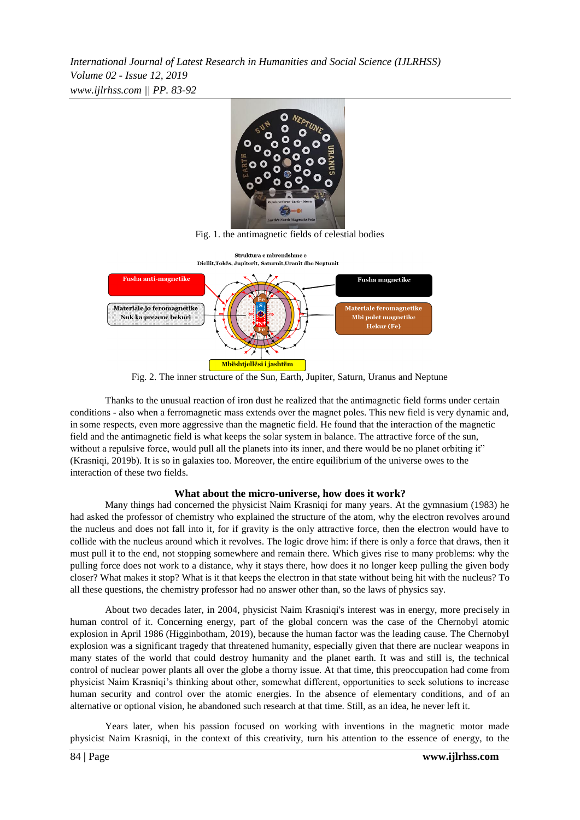*International Journal of Latest Research in Humanities and Social Science (IJLRHSS) Volume 02 - Issue 12, 2019 www.ijlrhss.com || PP. 83-92*



Fig. 1. the antimagnetic fields of celestial bodies



Fig. 2. The inner structure of the Sun, Earth, Jupiter, Saturn, Uranus and Neptune

Thanks to the unusual reaction of iron dust he realized that the antimagnetic field forms under certain conditions - also when a ferromagnetic mass extends over the magnet poles. This new field is very dynamic and, in some respects, even more aggressive than the magnetic field. He found that the interaction of the magnetic field and the antimagnetic field is what keeps the solar system in balance. The attractive force of the sun, without a repulsive force, would pull all the planets into its inner, and there would be no planet orbiting it" (Krasniqi, 2019b). It is so in galaxies too. Moreover, the entire equilibrium of the universe owes to the interaction of these two fields.

### **What about the micro-universe, how does it work?**

Many things had concerned the physicist Naim Krasniqi for many years. At the gymnasium (1983) he had asked the professor of chemistry who explained the structure of the atom, why the electron revolves around the nucleus and does not fall into it, for if gravity is the only attractive force, then the electron would have to collide with the nucleus around which it revolves. The logic drove him: if there is only a force that draws, then it must pull it to the end, not stopping somewhere and remain there. Which gives rise to many problems: why the pulling force does not work to a distance, why it stays there, how does it no longer keep pulling the given body closer? What makes it stop? What is it that keeps the electron in that state without being hit with the nucleus? To all these questions, the chemistry professor had no answer other than, so the laws of physics say.

About two decades later, in 2004, physicist Naim Krasniqi's interest was in energy, more precisely in human control of it. Concerning energy, part of the global concern was the case of the Chernobyl atomic explosion in April 1986 (Higginbotham, 2019), because the human factor was the leading cause. The Chernobyl explosion was a significant tragedy that threatened humanity, especially given that there are nuclear weapons in many states of the world that could destroy humanity and the planet earth. It was and still is, the technical control of nuclear power plants all over the globe a thorny issue. At that time, this preoccupation had come from physicist Naim Krasniqi's thinking about other, somewhat different, opportunities to seek solutions to increase human security and control over the atomic energies. In the absence of elementary conditions, and of an alternative or optional vision, he abandoned such research at that time. Still, as an idea, he never left it.

Years later, when his passion focused on working with inventions in the magnetic motor made physicist Naim Krasniqi, in the context of this creativity, turn his attention to the essence of energy, to the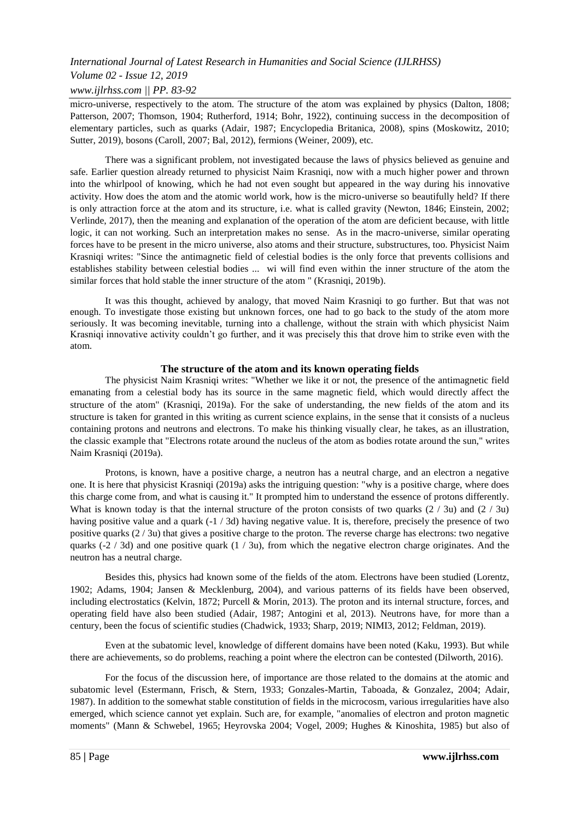## *Volume 02 - Issue 12, 2019*

## *www.ijlrhss.com || PP. 83-92*

micro-universe, respectively to the atom. The structure of the atom was explained by physics (Dalton, 1808; Patterson, 2007; Thomson, 1904; Rutherford, 1914; Bohr, 1922), continuing success in the decomposition of elementary particles, such as quarks (Adair, 1987; Encyclopedia Britanica, 2008), spins (Moskowitz, 2010; Sutter, 2019), bosons (Caroll, 2007; Bal, 2012), fermions (Weiner, 2009), etc.

There was a significant problem, not investigated because the laws of physics believed as genuine and safe. Earlier question already returned to physicist Naim Krasniqi, now with a much higher power and thrown into the whirlpool of knowing, which he had not even sought but appeared in the way during his innovative activity. How does the atom and the atomic world work, how is the micro-universe so beautifully held? If there is only attraction force at the atom and its structure, i.e. what is called gravity (Newton, 1846; Einstein, 2002; Verlinde, 2017), then the meaning and explanation of the operation of the atom are deficient because, with little logic, it can not working. Such an interpretation makes no sense. As in the macro-universe, similar operating forces have to be present in the micro universe, also atoms and their structure, substructures, too. Physicist Naim Krasniqi writes: "Since the antimagnetic field of celestial bodies is the only force that prevents collisions and establishes stability between celestial bodies ... wi will find even within the inner structure of the atom the similar forces that hold stable the inner structure of the atom " (Krasniqi, 2019b).

It was this thought, achieved by analogy, that moved Naim Krasniqi to go further. But that was not enough. To investigate those existing but unknown forces, one had to go back to the study of the atom more seriously. It was becoming inevitable, turning into a challenge, without the strain with which physicist Naim Krasniqi innovative activity couldn't go further, and it was precisely this that drove him to strike even with the atom.

### **The structure of the atom and its known operating fields**

The physicist Naim Krasniqi writes: "Whether we like it or not, the presence of the antimagnetic field emanating from a celestial body has its source in the same magnetic field, which would directly affect the structure of the atom" (Krasniqi, 2019a). For the sake of understanding, the new fields of the atom and its structure is taken for granted in this writing as current science explains, in the sense that it consists of a nucleus containing protons and neutrons and electrons. To make his thinking visually clear, he takes, as an illustration, the classic example that "Electrons rotate around the nucleus of the atom as bodies rotate around the sun," writes Naim Krasniqi (2019a).

Protons, is known, have a positive charge, a neutron has a neutral charge, and an electron a negative one. It is here that physicist Krasniqi (2019a) asks the intriguing question: "why is a positive charge, where does this charge come from, and what is causing it." It prompted him to understand the essence of protons differently. What is known today is that the internal structure of the proton consists of two quarks  $(2 / 3u)$  and  $(2 / 3u)$ having positive value and a quark (-1/3d) having negative value. It is, therefore, precisely the presence of two positive quarks  $(2/3u)$  that gives a positive charge to the proton. The reverse charge has electrons: two negative quarks (-2 / 3d) and one positive quark  $(1 / 3u)$ , from which the negative electron charge originates. And the neutron has a neutral charge.

Besides this, physics had known some of the fields of the atom. Electrons have been studied (Lorentz, 1902; Adams, 1904; Jansen & Mecklenburg, 2004), and various patterns of its fields have been observed, including electrostatics (Kelvin, 1872; Purcell & Morin, 2013). The proton and its internal structure, forces, and operating field have also been studied (Adair, 1987; Antogini et al, 2013). Neutrons have, for more than a century, been the focus of scientific studies (Chadwick, 1933; Sharp, 2019; NIMI3, 2012; Feldman, 2019).

Even at the subatomic level, knowledge of different domains have been noted (Kaku, 1993). But while there are achievements, so do problems, reaching a point where the electron can be contested (Dilworth, 2016).

For the focus of the discussion here, of importance are those related to the domains at the atomic and subatomic level (Estermann, Frisch, & Stern, 1933; Gonzales-Martin, Taboada, & Gonzalez, 2004; Adair, 1987). In addition to the somewhat stable constitution of fields in the microcosm, various irregularities have also emerged, which science cannot yet explain. Such are, for example, "anomalies of electron and proton magnetic moments" (Mann & Schwebel, 1965; Heyrovska 2004; Vogel, 2009; Hughes & Kinoshita, 1985) but also of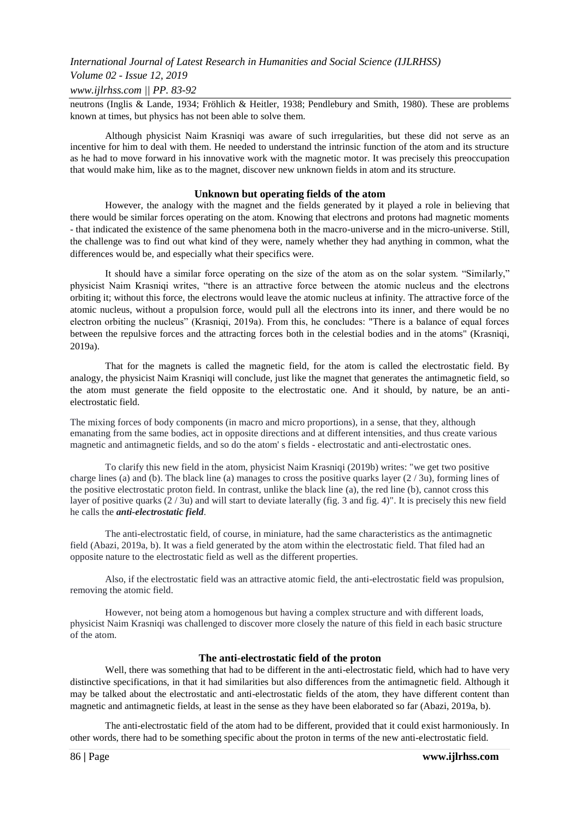#### *Volume 02 - Issue 12, 2019*

#### *www.ijlrhss.com || PP. 83-92*

neutrons (Inglis & Lande, 1934; Fröhlich & Heitler, 1938; Pendlebury and Smith, 1980). These are problems known at times, but physics has not been able to solve them.

Although physicist Naim Krasniqi was aware of such irregularities, but these did not serve as an incentive for him to deal with them. He needed to understand the intrinsic function of the atom and its structure as he had to move forward in his innovative work with the magnetic motor. It was precisely this preoccupation that would make him, like as to the magnet, discover new unknown fields in atom and its structure.

#### **Unknown but operating fields of the atom**

However, the analogy with the magnet and the fields generated by it played a role in believing that there would be similar forces operating on the atom. Knowing that electrons and protons had magnetic moments - that indicated the existence of the same phenomena both in the macro-universe and in the micro-universe. Still, the challenge was to find out what kind of they were, namely whether they had anything in common, what the differences would be, and especially what their specifics were.

It should have a similar force operating on the size of the atom as on the solar system. "Similarly," physicist Naim Krasniqi writes, "there is an attractive force between the atomic nucleus and the electrons orbiting it; without this force, the electrons would leave the atomic nucleus at infinity. The attractive force of the atomic nucleus, without a propulsion force, would pull all the electrons into its inner, and there would be no electron orbiting the nucleus" (Krasniqi, 2019a). From this, he concludes: "There is a balance of equal forces between the repulsive forces and the attracting forces both in the celestial bodies and in the atoms" (Krasniqi, 2019a).

That for the magnets is called the magnetic field, for the atom is called the electrostatic field. By analogy, the physicist Naim Krasniqi will conclude, just like the magnet that generates the antimagnetic field, so the atom must generate the field opposite to the electrostatic one. And it should, by nature, be an antielectrostatic field.

The mixing forces of body components (in macro and micro proportions), in a sense, that they, although emanating from the same bodies, act in opposite directions and at different intensities, and thus create various magnetic and antimagnetic fields, and so do the atom' s fields - electrostatic and anti-electrostatic ones.

To clarify this new field in the atom, physicist Naim Krasniqi (2019b) writes: "we get two positive charge lines (a) and (b). The black line (a) manages to cross the positive quarks layer  $(2/3u)$ , forming lines of the positive electrostatic proton field. In contrast, unlike the black line (a), the red line (b), cannot cross this layer of positive quarks (2 / 3u) and will start to deviate laterally (fig. 3 and fig. 4)". It is precisely this new field he calls the *anti-electrostatic field*.

The anti-electrostatic field, of course, in miniature, had the same characteristics as the antimagnetic field (Abazi, 2019a, b). It was a field generated by the atom within the electrostatic field. That filed had an opposite nature to the electrostatic field as well as the different properties.

Also, if the electrostatic field was an attractive atomic field, the anti-electrostatic field was propulsion, removing the atomic field.

However, not being atom a homogenous but having a complex structure and with different loads, physicist Naim Krasniqi was challenged to discover more closely the nature of this field in each basic structure of the atom.

#### **The anti-electrostatic field of the proton**

Well, there was something that had to be different in the anti-electrostatic field, which had to have very distinctive specifications, in that it had similarities but also differences from the antimagnetic field. Although it may be talked about the electrostatic and anti-electrostatic fields of the atom, they have different content than magnetic and antimagnetic fields, at least in the sense as they have been elaborated so far (Abazi, 2019a, b).

The anti-electrostatic field of the atom had to be different, provided that it could exist harmoniously. In other words, there had to be something specific about the proton in terms of the new anti-electrostatic field.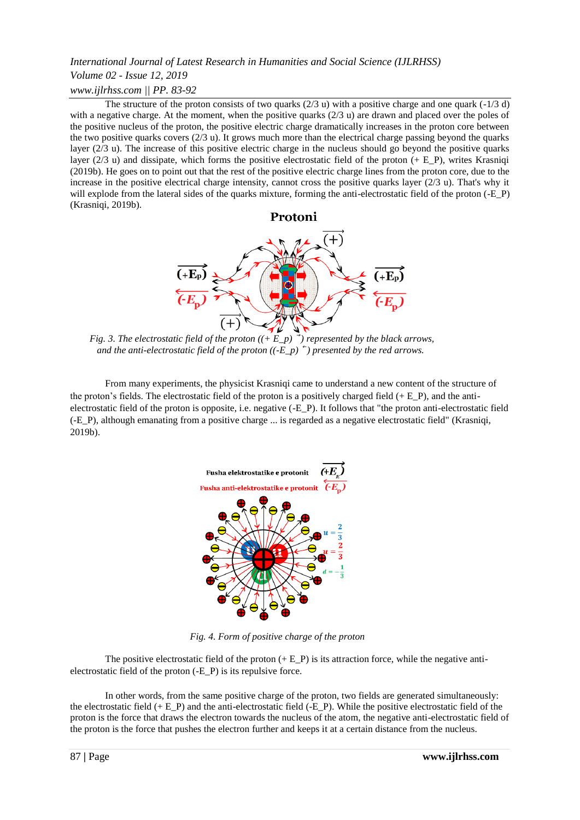## *International Journal of Latest Research in Humanities and Social Science (IJLRHSS) Volume 02 - Issue 12, 2019 www.ijlrhss.com || PP. 83-92*

The structure of the proton consists of two quarks  $(2/3 u)$  with a positive charge and one quark  $(-1/3 d)$ with a negative charge. At the moment, when the positive quarks  $(2/3 u)$  are drawn and placed over the poles of the positive nucleus of the proton, the positive electric charge dramatically increases in the proton core between the two positive quarks covers (2/3 u). It grows much more than the electrical charge passing beyond the quarks layer (2/3 u). The increase of this positive electric charge in the nucleus should go beyond the positive quarks layer ( $2/3$  u) and dissipate, which forms the positive electrostatic field of the proton (+ E\_P), writes Krasniqi (2019b). He goes on to point out that the rest of the positive electric charge lines from the proton core, due to the increase in the positive electrical charge intensity, cannot cross the positive quarks layer (2/3 u). That's why it will explode from the lateral sides of the quarks mixture, forming the anti-electrostatic field of the proton (-E\_P) (Krasniqi, 2019b).



*Fig. 3. The electrostatic field of the proton*  $((+\mathbf{E} \ \mathbf{p})^2)$  *represented by the black arrows.* and the anti-electrostatic field of the proton  $((-E_p)^*)$  presented by the red arrows.

From many experiments, the physicist Krasniqi came to understand a new content of the structure of the proton's fields. The electrostatic field of the proton is a positively charged field  $(+ E\ P)$ , and the antielectrostatic field of the proton is opposite, i.e. negative (-E\_P). It follows that "the proton anti-electrostatic field (-E\_P), although emanating from a positive charge ... is regarded as a negative electrostatic field" (Krasniqi, 2019b).



 *Fig. 4. Form of positive charge of the proton* 

The positive electrostatic field of the proton  $(+ E_P)$  is its attraction force, while the negative antielectrostatic field of the proton (-E\_P) is its repulsive force.

In other words, from the same positive charge of the proton, two fields are generated simultaneously: the electrostatic field  $(+ E_P)$  and the anti-electrostatic field  $(-E_P)$ . While the positive electrostatic field of the proton is the force that draws the electron towards the nucleus of the atom, the negative anti-electrostatic field of the proton is the force that pushes the electron further and keeps it at a certain distance from the nucleus.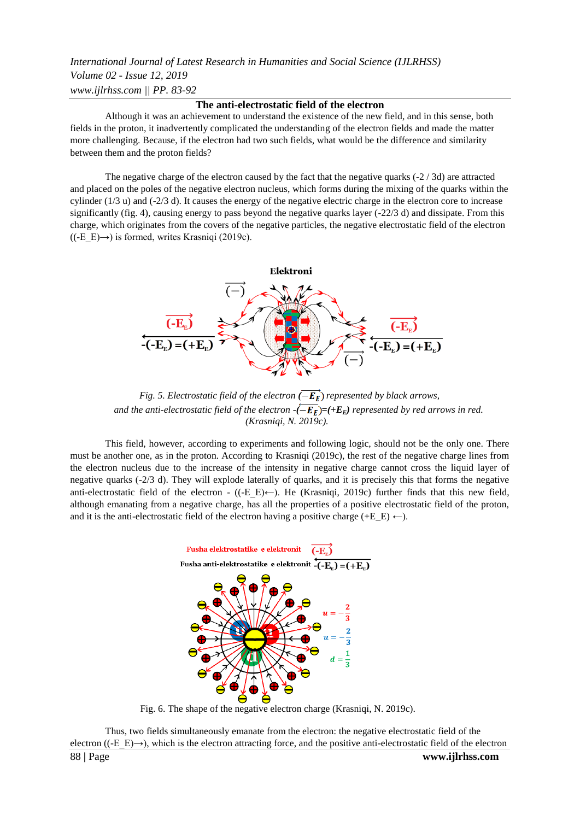## *International Journal of Latest Research in Humanities and Social Science (IJLRHSS) Volume 02 - Issue 12, 2019 www.ijlrhss.com || PP. 83-92*

#### **The anti-electrostatic field of the electron**

Although it was an achievement to understand the existence of the new field, and in this sense, both fields in the proton, it inadvertently complicated the understanding of the electron fields and made the matter more challenging. Because, if the electron had two such fields, what would be the difference and similarity between them and the proton fields?

The negative charge of the electron caused by the fact that the negative quarks  $(-2/3d)$  are attracted and placed on the poles of the negative electron nucleus, which forms during the mixing of the quarks within the cylinder  $(1/3 u)$  and  $(-2/3 d)$ . It causes the energy of the negative electric charge in the electron core to increase significantly (fig. 4), causing energy to pass beyond the negative quarks layer (-22/3 d) and dissipate. From this charge, which originates from the covers of the negative particles, the negative electrostatic field of the electron  $((-E E) \rightarrow)$  is formed, writes Krasniqi (2019c).



*Fig. 5. Electrostatic field of the electron*  $(\overrightarrow{ -E_{\rm F}})$  *represented by black arrows, and the anti-electrostatic field of the electron*  $-(\overline{-E_E}) = (+E_E)$  *represented by red arrows in red. (Krasniqi, N. 2019c).*

This field, however, according to experiments and following logic, should not be the only one. There must be another one, as in the proton. According to Krasniqi (2019c), the rest of the negative charge lines from the electron nucleus due to the increase of the intensity in negative charge cannot cross the liquid layer of negative quarks (-2/3 d). They will explode laterally of quarks, and it is precisely this that forms the negative anti-electrostatic field of the electron - ( $(-E_E) \leftarrow$ ). He (Krasniqi, 2019c) further finds that this new field, although emanating from a negative charge, has all the properties of a positive electrostatic field of the proton, and it is the anti-electrostatic field of the electron having a positive charge ( $+E_E$ )  $\leftarrow$ ).



Fig. 6. The shape of the negative electron charge (Krasniqi, N. 2019c).

88 **|** Page **www.ijlrhss.com** Thus, two fields simultaneously emanate from the electron: the negative electrostatic field of the electron ( $(E|E) \rightarrow$ ), which is the electron attracting force, and the positive anti-electrostatic field of the electron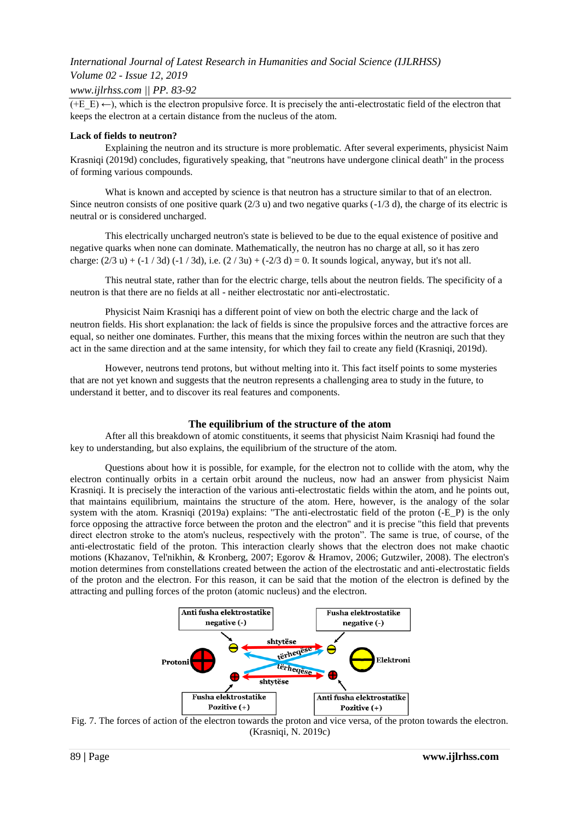### *Volume 02 - Issue 12, 2019*

*www.ijlrhss.com || PP. 83-92*

 $(+E E) \leftarrow$ ), which is the electron propulsive force. It is precisely the anti-electrostatic field of the electron that keeps the electron at a certain distance from the nucleus of the atom.

#### **Lack of fields to neutron?**

Explaining the neutron and its structure is more problematic. After several experiments, physicist Naim Krasniqi (2019d) concludes, figuratively speaking, that "neutrons have undergone clinical death" in the process of forming various compounds.

What is known and accepted by science is that neutron has a structure similar to that of an electron. Since neutron consists of one positive quark (2/3 u) and two negative quarks (-1/3 d), the charge of its electric is neutral or is considered uncharged.

This electrically uncharged neutron's state is believed to be due to the equal existence of positive and negative quarks when none can dominate. Mathematically, the neutron has no charge at all, so it has zero charge:  $(2/3 u) + (-1/3 d) (-1/3 d)$ , i.e.  $(2/3 u) + (-2/3 d) = 0$ . It sounds logical, anyway, but it's not all.

This neutral state, rather than for the electric charge, tells about the neutron fields. The specificity of a neutron is that there are no fields at all - neither electrostatic nor anti-electrostatic.

Physicist Naim Krasniqi has a different point of view on both the electric charge and the lack of neutron fields. His short explanation: the lack of fields is since the propulsive forces and the attractive forces are equal, so neither one dominates. Further, this means that the mixing forces within the neutron are such that they act in the same direction and at the same intensity, for which they fail to create any field (Krasniqi, 2019d).

However, neutrons tend protons, but without melting into it. This fact itself points to some mysteries that are not yet known and suggests that the neutron represents a challenging area to study in the future, to understand it better, and to discover its real features and components.

### **The equilibrium of the structure of the atom**

After all this breakdown of atomic constituents, it seems that physicist Naim Krasniqi had found the key to understanding, but also explains, the equilibrium of the structure of the atom.

Questions about how it is possible, for example, for the electron not to collide with the atom, why the electron continually orbits in a certain orbit around the nucleus, now had an answer from physicist Naim Krasniqi. It is precisely the interaction of the various anti-electrostatic fields within the atom, and he points out, that maintains equilibrium, maintains the structure of the atom. Here, however, is the analogy of the solar system with the atom. Krasniqi (2019a) explains: "The anti-electrostatic field of the proton (-E\_P) is the only force opposing the attractive force between the proton and the electron" and it is precise "this field that prevents direct electron stroke to the atom's nucleus, respectively with the proton". The same is true, of course, of the anti-electrostatic field of the proton. This interaction clearly shows that the electron does not make chaotic motions (Khazanov, Tel'nikhin, & Kronberg, 2007; Egorov & Hramov, 2006; Gutzwiler, 2008). The electron's motion determines from constellations created between the action of the electrostatic and anti-electrostatic fields of the proton and the electron. For this reason, it can be said that the motion of the electron is defined by the attracting and pulling forces of the proton (atomic nucleus) and the electron.



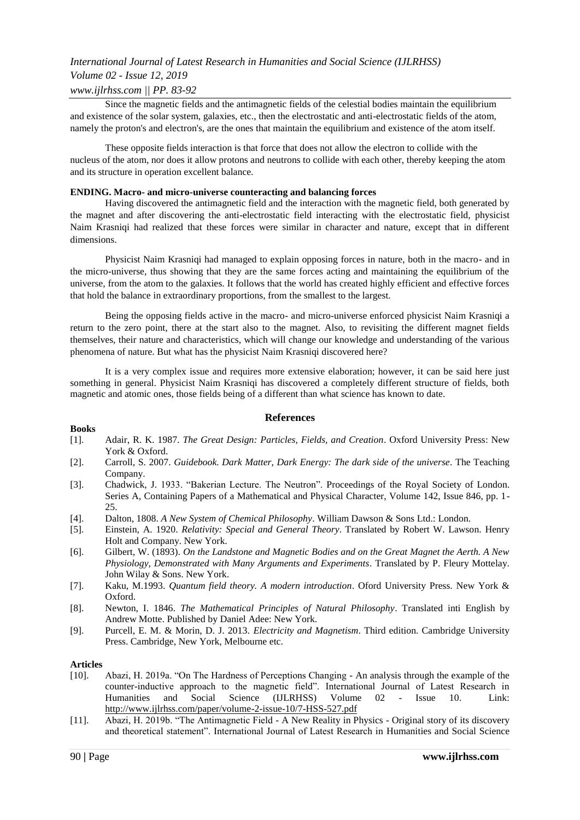## *Volume 02 - Issue 12, 2019*

### *www.ijlrhss.com || PP. 83-92*

Since the magnetic fields and the antimagnetic fields of the celestial bodies maintain the equilibrium and existence of the solar system, galaxies, etc., then the electrostatic and anti-electrostatic fields of the atom, namely the proton's and electron's, are the ones that maintain the equilibrium and existence of the atom itself.

These opposite fields interaction is that force that does not allow the electron to collide with the nucleus of the atom, nor does it allow protons and neutrons to collide with each other, thereby keeping the atom and its structure in operation excellent balance.

#### **ENDING. Macro- and micro-universe counteracting and balancing forces**

Having discovered the antimagnetic field and the interaction with the magnetic field, both generated by the magnet and after discovering the anti-electrostatic field interacting with the electrostatic field, physicist Naim Krasniqi had realized that these forces were similar in character and nature, except that in different dimensions.

Physicist Naim Krasniqi had managed to explain opposing forces in nature, both in the macro- and in the micro-universe, thus showing that they are the same forces acting and maintaining the equilibrium of the universe, from the atom to the galaxies. It follows that the world has created highly efficient and effective forces that hold the balance in extraordinary proportions, from the smallest to the largest.

Being the opposing fields active in the macro- and micro-universe enforced physicist Naim Krasniqi a return to the zero point, there at the start also to the magnet. Also, to revisiting the different magnet fields themselves, their nature and characteristics, which will change our knowledge and understanding of the various phenomena of nature. But what has the physicist Naim Krasniqi discovered here?

It is a very complex issue and requires more extensive elaboration; however, it can be said here just something in general. Physicist Naim Krasniqi has discovered a completely different structure of fields, both magnetic and atomic ones, those fields being of a different than what science has known to date.

### **References**

#### **Books**

- [1]. Adair, R. K. 1987. *The Great Design: Particles, Fields, and Creation*. [Oxford University Press:](https://en.wikipedia.org/wiki/Oxford_University_Press) New York & Oxford.
- [2]. Carroll, S. 2007. *Guidebook. Dark Matter, Dark Energy: The dark side of the universe*. The Teaching Company.
- [3]. [Chadwick, J.](https://ui.adsabs.harvard.edu/#search/q=author:%22Chadwick%2C+J.%22&sort=date%20desc,%20bibcode%20desc) 1933. "Bakerian Lecture. The Neutron". Proceedings of the Royal Society of London. Series A, Containing Papers of a Mathematical and Physical Character, Volume 142, Issue 846, pp. 1- 25.
- [4]. Dalton, 1808. *A New System of Chemical Philosophy*. William Dawson & Sons Ltd.: London.
- [5]. Einstein, A. 1920. *Relativity: Special and General Theory*. Translated by Robert W. Lawson. Henry Holt and Company. New York.
- [6]. Gilbert, W. (1893). *On the Landstone and Magnetic Bodies and on the Great Magnet the Aerth. A New Physiology, Demonstrated with Many Arguments and Experiments*. Translated by P. Fleury Mottelay. John Wilay & Sons. New York.
- [7]. Kaku, M.1993. *Quantum field theory. A modern introduction*. Oford University Press. New York & Oxford.
- [8]. Newton, I. 1846. *The Mathematical Principles of Natural Philosophy*. Translated inti English by Andrew Motte. Published by Daniel Adee: New York.
- [9]. Purcell, E. M. & Morin, D. J. 2013. *Electricity and Magnetism*. Third edition. Cambridge University Press. Cambridge, New York, Melbourne etc.

#### **Articles**

- [10]. Abazi, H. 2019a. "On The Hardness of Perceptions Changing An analysis through the example of the counter-inductive approach to the magnetic field". International Journal of Latest Research in Humanities and Social Science (IJLRHSS) Volume 02 - Issue 10. Link: <http://www.ijlrhss.com/paper/volume-2-issue-10/7-HSS-527.pdf>
- [11]. Abazi, H. 2019b. "The Antimagnetic Field A New Reality in Physics Original story of its discovery and theoretical statement". International Journal of Latest Research in Humanities and Social Science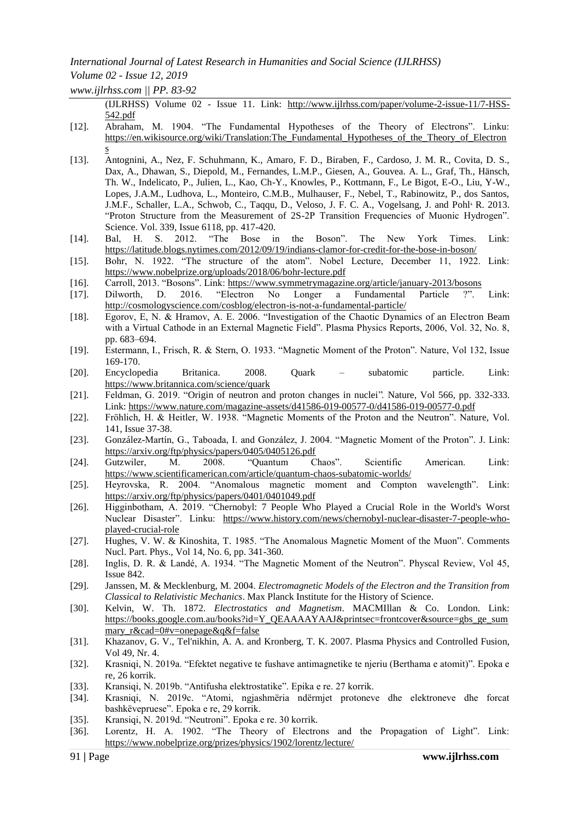## *Volume 02 - Issue 12, 2019*

*www.ijlrhss.com || PP. 83-92*

(IJLRHSS) Volume 02 - Issue 11. Link: [http://www.ijlrhss.com/paper/volume-2-issue-11/7-HSS-](http://www.ijlrhss.com/paper/volume-2-issue-11/7-HSS-542.pdf)[542.pdf](http://www.ijlrhss.com/paper/volume-2-issue-11/7-HSS-542.pdf)

- [12]. [Abraham,](https://en.wikisource.org/wiki/Author:Max_Abraham) M. 1904. "The Fundamental Hypotheses of the Theory of Electrons". Linku: [https://en.wikisource.org/wiki/Translation:The\\_Fundamental\\_Hypotheses\\_of\\_the\\_Theory\\_of\\_Electron](https://en.wikisource.org/wiki/Translation:The_Fundamental_Hypotheses_of_the_Theory_of_Electrons) [s](https://en.wikisource.org/wiki/Translation:The_Fundamental_Hypotheses_of_the_Theory_of_Electrons)
- [13]. Antognini, A., Nez, F. Schuhmann, K., Amaro, F. D., Biraben, F., Cardoso, J. M. R., Covita, D. S., Dax, A., Dhawan, S., Diepold, M., Fernandes, L.M.P., Giesen, A., Gouvea. A. L., Graf, Th., Hänsch, Th. W., Indelicato, P., Julien, L., Kao, Ch-Y., Knowles, P., Kottmann, F., Le Bigot, E-O., Liu, Y-W., Lopes, J.A.M., Ludhova, L., Monteiro, C.M.B., Mulhauser, F., Nebel, T., Rabinowitz, P., dos Santos, J.M.F., Scha[l](https://science.sciencemag.org/content/339/6118/417/tab-pdf#aff-1)ler, L.A., Schwob, C., Taqqu, D., Veloso, J. F. C. A., Vogelsang, J. and Pohl<sup>3</sup> R. 2013. "Proton Structure from the Measurement of 2S-2P Transition Frequencies of Muonic Hydrogen". Science. Vol. 339, Issue 6118, pp. 417-420.
- [14]. Bal, H. S. 2012. "The Bose in the Boson". The New York Times. Link: <https://latitude.blogs.nytimes.com/2012/09/19/indians-clamor-for-credit-for-the-bose-in-boson/>
- [15]. Bohr, N. 1922. "The structure of the atom". Nobel Lecture, December 11, 1922. Link: <https://www.nobelprize.org/uploads/2018/06/bohr-lecture.pdf>
- [16]. Carroll, 2013. "Bosons". Link:<https://www.symmetrymagazine.org/article/january-2013/bosons>
- [17]. Dilworth, D. 2016. "Electron No Longer a Fundamental Particle ?". Link: <http://cosmologyscience.com/cosblog/electron-is-not-a-fundamental-particle/>
- [18]. Egorov, E, N. & Hramov, A. E. 2006. "Investigation of the Chaotic Dynamics of an Electron Beam with a Virtual Cathode in an External Magnetic Field". Plasma Physics Reports, 2006, Vol. 32, No. 8, pp. 683–694.
- [19]. Estermann, I., Frisch, R. & Stern, O. 1933. "Magnetic Moment of the Proton". Nature, Vol 132, Issue 169-170.
- [20]. Encyclopedia Britanica. 2008. Quark subatomic particle. Link: <https://www.britannica.com/science/quark>
- [21]. Feldman, G. 2019. "Origin of neutron and proton changes in nuclei". Nature, Vol 566, pp. 332-333. Link:<https://www.nature.com/magazine-assets/d41586-019-00577-0/d41586-019-00577-0.pdf>
- [22]. Fröhlich, H. & Heitler, W. 1938. "Magnetic Moments of the Proton and the Neutron". Nature, Vol. 141, Issue 37-38.
- [23]. González-Martín, G., Taboada, I. and González, J. 2004. "Magnetic Moment of the Proton". J. Link: <https://arxiv.org/ftp/physics/papers/0405/0405126.pdf>
- [24]. Gutzwiler, M. 2008. "Quantum Chaos". Scientific American. Link: <https://www.scientificamerican.com/article/quantum-chaos-subatomic-worlds/>
- [25]. Heyrovska, R. 2004. "Anomalous magnetic moment and Compton wavelength". Link: <https://arxiv.org/ftp/physics/papers/0401/0401049.pdf>
- [26]. Higginbotham, A. 2019. "Chernobyl: 7 People Who Played a Crucial Role in the World's Worst Nuclear Disaster". Linku: [https://www.history.com/news/chernobyl-nuclear-disaster-7-people-who](https://www.history.com/news/chernobyl-nuclear-disaster-7-people-who-played-crucial-role)[played-crucial-role](https://www.history.com/news/chernobyl-nuclear-disaster-7-people-who-played-crucial-role)
- [27]. Hughes, V. W. & Kinoshita, T. 1985. "The Anomalous Magnetic Moment of the Muon". Comments Nucl. Part. Phys., Vol 14, No. 6, pp. 341-360.
- [28]. Inglis, D. R. & Landé, A. 1934. "The Magnetic Moment of the Neutron". Physcal Review, Vol 45, Issue 842.
- [29]. Janssen, M. & Mecklenburg, M. 2004. *Electromagnetic Models of the Electron and the Transition from Classical to Relativistic Mechanics*. Max Planck Institute for the History of Science.
- [30]. Kelvin, W. Th. 1872. *Electrostatics and Magnetism*. MACMIllan & Co. London. Link: [https://books.google.com.au/books?id=Y\\_QEAAAAYAAJ&printsec=frontcover&source=gbs\\_ge\\_sum](https://books.google.com.au/books?id=Y_QEAAAAYAAJ&printsec=frontcover&source=gbs_ge_summary_r&cad=0#v=onepage&q&f=false) [mary\\_r&cad=0#v=onepage&q&f=false](https://books.google.com.au/books?id=Y_QEAAAAYAAJ&printsec=frontcover&source=gbs_ge_summary_r&cad=0#v=onepage&q&f=false)
- [31]. Khazanov, G. V., Tel'nikhin, A. A. and Kronberg, T. K. 2007. Plasma Physics and [Controlled](https://iopscience.iop.org/journal/0741-3335) Fusion, Vol 49, Nr. 4.
- [32]. Krasniqi, N. 2019a. "Efektet negative te fushave antimagnetike te njeriu (Berthama e atomit)". Epoka e re, 26 korrik.
- [33]. Kransiqi, N. 2019b. "Antifusha elektrostatike". Epika e re. 27 korrik.
- [34]. Krasniqi, N. 2019c. "Atomi, ngjashmëria ndërmjet protoneve dhe elektroneve dhe forcat bashkëvepruese". Epoka e re, 29 korrik.
- [35]. Kransiqi, N. 2019d. "Neutroni". Epoka e re. 30 korrik.
- [36]. Lorentz, H. A. 1902. "The Theory of Electrons and the Propagation of Light". Link: <https://www.nobelprize.org/prizes/physics/1902/lorentz/lecture/>